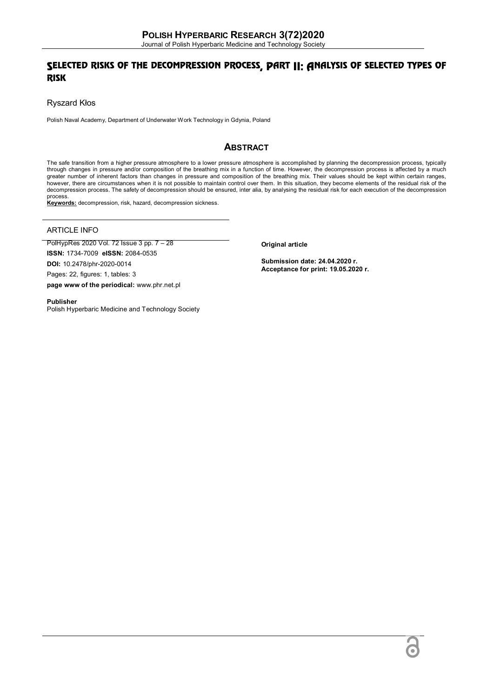# SELECTED RISKS OF THE DECOMPRESSION PROCESS, PART II: ANALYSIS OF SELECTED TYPES OF RISK

Ryszard Kłos

Polish Naval Academy, Department of Underwater Work Technology in Gdynia, Poland

# **ABSTRACT**

The safe transition from a higher pressure atmosphere to a lower pressure atmosphere is accomplished by planning the decompression process, typically through changes in pressure and/or composition of the breathing mix in a function of time. However, the decompression process is affected by a much greater number of inherent factors than changes in pressure and composition of the breathing mix. Their values should be kept within certain ranges, however, there are circumstances when it is not possible to maintain control over them. In this situation, they become elements of the residual risk of the decompression process. The safety of decompression should be ensured, inter alia, by analysing the residual risk for each execution of the decompression process.

**Keywords:** decompression, risk, hazard, decompression sickness.

ARTICLE INFO

PolHypRes 2020 Vol. 72 Issue 3 pp. 7 – 28

**ISSN:** 1734-7009 **eISSN:** 2084-0535

**DOI:** 10.2478/phr-2020-0014

Pages: 22, figures: 1, tables: 3

**page www of the periodical:** www.phr.net.pl

**Publisher**  Polish Hyperbaric Medicine and Technology Society **Original article**

**Submission date: 24.04.2020 r. Acceptance for print: 19.05.2020 r.**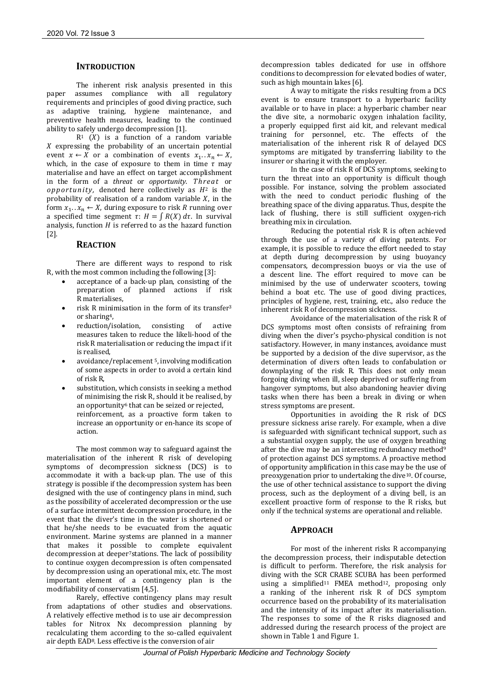# **INTRODUCTION**

The inherent risk analysis presented in this paper assumes compliance with all regulatory requirements and principles of good diving practice, such as adaptive training, hygiene maintenance, and preventive health measures, leading to the continued ability to safely undergo decompression [1].

 $R<sup>1</sup>$  (X) is a function of a random variable X expressing the probability of an uncertain potential event  $x \leftarrow X$  or a combination of events  $x_1 \cdot x_n \leftarrow X$ , which, in the case of exposure to them in time  $\tau$  may materialise and have an effect on target accomplishment in the form of a *threat* or *opportunity*. *T hreat* or *opportun ity,* denoted here collectively as <sup>2</sup> is the probability of realisation of a random variable  $X$ , in the form  $x_1 \dots x_n \leftarrow X$ , during exposure to risk R running over a specified time segment  $\tau$ :  $H = \int R(X) d\tau$ . In survival analysis, function  $H$  is referred to as the hazard function [2].

### **REACTION**

There are different ways to respond to risk R, with the most common including the following [3]:

- acceptance of a back-up plan, consisting of the preparation of planned actions if risk R materialises,
- risk R minimisation in the form of its transfer<sup>3</sup> or sharing4,
- reduction/isolation, consisting of active measures taken to reduce the likeli-hood of the risk R materialisation or reducing the impact if it is realised,
- avoidance/replacement 5, involving modification of some aspects in order to avoid a certain kind of risk R,
- substitution, which consists in seeking a method of minimising the risk R, should it be realised, by an opportunity<sup>6</sup> that can be seized or rejected, reinforcement, as a proactive form taken to increase an opportunity or en-hance its scope of action.

The most common way to safeguard against the materialisation of the inherent R risk of developing symptoms of decompression sickness (DCS) is to accommodate it with a back-up plan. The use of this strategy is possible if the decompression system has been designed with the use of contingency plans in mind, such as the possibility of accelerated decompression or the use of a surface intermittent decompression procedure, in the event that the diver's time in the water is shortened or that he/she needs to be evacuated from the aquatic environment. Marine systems are planned in a manner that makes it possible to complete equivalent decompression at deeper7stations. The lack of possibility to continue oxygen decompression is often compensated by decompression using an operational mix, etc. The most important element of a contingency plan is the modifiability of conservatism [4,5].

Rarely, effective contingency plans may result from adaptations of other studies and observations. A relatively effective method is to use air decompression tables for Nitrox Nx decompression planning by recalculating them according to the so-called equivalent air depth EAD8. Less effective is the conversion of air

decompression tables dedicated for use in offshore conditions to decompression for elevated bodies of water, such as high mountain lakes [6].

A way to mitigate the risks resulting from a DCS event is to ensure transport to a hyperbaric facility available or to have in place: a hyperbaric chamber near the dive site, a normobaric oxygen inhalation facility, a properly equipped first aid kit, and relevant medical training for personnel, etc. The effects of the materialisation of the inherent risk R of delayed DCS symptoms are mitigated by transferring liability to the insurer or sharing it with the employer.

In the case of risk R of DCS symptoms, seeking to turn the threat into an opportunity is difficult though possible. For instance, solving the problem associated with the need to conduct periodic flushing of the breathing space of the diving apparatus. Thus, despite the lack of flushing, there is still sufficient oxygen-rich breathing mix in circulation.

Reducing the potential risk R is often achieved through the use of a variety of diving patents. For example, it is possible to reduce the effort needed to stay at depth during decompression by using buoyancy compensators, decompression buoys or via the use of a descent line. The effort required to move can be minimised by the use of underwater scooters, towing behind a boat etc. The use of good diving practices, principles of hygiene, rest, training, etc., also reduce the inherent risk R of decompression sickness.

Avoidance of the materialisation of the risk R of DCS symptoms most often consists of refraining from diving when the diver's psycho-physical condition is not satisfactory. However, in many instances, avoidance must be supported by a decision of the dive supervisor, as the determination of divers often leads to confabulation or downplaying of the risk R. This does not only mean forgoing diving when ill, sleep deprived or suffering from hangover symptoms, but also abandoning heavier diving tasks when there has been a break in diving or when stress symptoms are present.

Opportunities in avoiding the R risk of DCS pressure sickness arise rarely. For example, when a dive is safeguarded with significant technical support, such as a substantial oxygen supply, the use of oxygen breathing after the dive may be an interesting redundancy method<sup>9</sup> of protection against DCS symptoms. A proactive method of opportunity amplification in this case may be the use of preoxygenation prior to undertaking the dive10. Of course, the use of other technical assistance to support the diving process, such as the deployment of a diving bell, is an excellent proactive form of response to the R risks, but only if the technical systems are operational and reliable.

## **APPROACH**

For most of the inherent risks R accompanying the decompression process, their indisputable detection is difficult to perform. Therefore, the risk analysis for diving with the SCR CRABE SCUBA has been performed using a simplified<sup>11</sup> FMEA method<sup>12</sup>, proposing only a ranking of the inherent risk R of DCS symptom occurrence based on the probability of its materialisation and the intensity of its impact after its materialisation. The responses to some of the R risks diagnosed and addressed during the research process of the project are shown in Table 1 and Figure 1.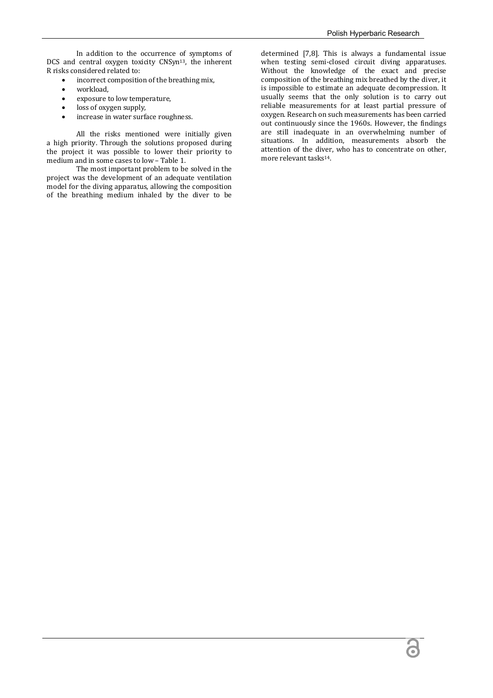- incorrect composition of the breathing mix,
- workload,
- exposure to low temperature,
- loss of oxygen supply,
- increase in water surface roughness.

All the risks mentioned were initially given a high priority. Through the solutions proposed during the project it was possible to lower their priority to medium and in some cases to low – Table 1.

The most important problem to be solved in the project was the development of an adequate ventilation model for the diving apparatus, allowing the composition of the breathing medium inhaled by the diver to be

determined [7,8]. This is always a fundamental issue when testing semi-closed circuit diving apparatuses. Without the knowledge of the exact and precise composition of the breathing mix breathed by the diver, it is impossible to estimate an adequate decompression. It usually seems that the only solution is to carry out reliable measurements for at least partial pressure of oxygen. Research on such measurements has been carried out continuously since the 1960s. However, the findings are still inadequate in an overwhelming number of situations. In addition, measurements absorb the attention of the diver, who has to concentrate on other, more relevant tasks14.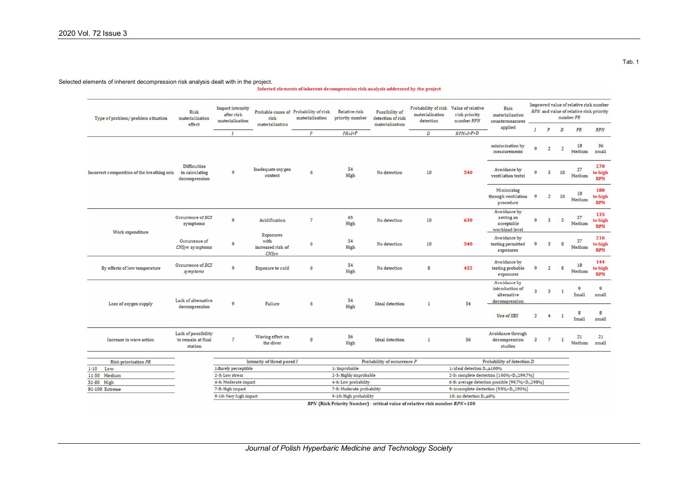Selected elements of inherent decompression risk analysis dealt with in the project.<br>Selected elements of inherent decompression risk analysis addressed by the project

| Type of problem/problem situation          | Risk<br>materialisation<br>effect                      | Impact intensity<br>after risk<br>materialisation | risk<br>materialisation                                       | Probable cause of Probability of risk<br>materialisation | Relative risk<br>priority number | Possibility of<br>detection of risk<br>materialisation | Probability of risk Value of relative<br>materialisation<br>detection | risk priority<br>number RPN        | <b>Risk</b><br>materialisation<br>countermeasures               |                                    |                |                | Improved value of relative risk number<br>RPN and value of relative risk priority<br>number PR |                              |                              |
|--------------------------------------------|--------------------------------------------------------|---------------------------------------------------|---------------------------------------------------------------|----------------------------------------------------------|----------------------------------|--------------------------------------------------------|-----------------------------------------------------------------------|------------------------------------|-----------------------------------------------------------------|------------------------------------|----------------|----------------|------------------------------------------------------------------------------------------------|------------------------------|------------------------------|
|                                            |                                                        | $\overline{I}$                                    |                                                               | $\boldsymbol{P}$                                         | $PR = I \times P$                |                                                        | $\boldsymbol{D}$                                                      | $RPN = I \times P \times D$        | applied                                                         |                                    | P              | D              | PR                                                                                             | <b>RPN</b>                   |                              |
|                                            |                                                        |                                                   |                                                               |                                                          |                                  |                                                        |                                                                       |                                    | minimisation by<br>measurements                                 | $\Omega$                           | $\overline{2}$ | $\overline{2}$ | 18<br>Medium                                                                                   | 36<br>small                  |                              |
| Incorrect composition of the breathing mix | <b>Difficulties</b><br>in calculating<br>decompression | 9                                                 | Inadequate oxygen<br>content                                  | 6                                                        | 54<br>HIgh                       | No detection                                           | 10                                                                    |                                    | 540                                                             | Avoidance by<br>ventilation testsi | Q              | $\overline{3}$ | 10                                                                                             | 27<br>Medium                 | 270<br>to high<br><b>RPN</b> |
|                                            |                                                        |                                                   |                                                               |                                                          |                                  |                                                        |                                                                       |                                    | Minimising<br>through ventilation<br>procedure                  | 9                                  | $\overline{2}$ | 10             | 18<br>Medium                                                                                   | 180<br>to high<br><b>RPN</b> |                              |
| Work expenditure                           | Occurrence of DCS<br>symptoms                          | 9                                                 | Acidification                                                 | $\overline{7}$                                           | 63<br>High                       | No detection                                           | 10                                                                    | 630                                | Avoidance by<br>setting an<br>acceptable<br>workload level      | $\mathsf{Q}$                       | 3              | 5              | 27<br>Medium                                                                                   | 135<br>to high<br><b>RPN</b> |                              |
|                                            | Occurrence of<br><b>CNSyn</b> symptoms                 | 9                                                 | <b>Exposures</b><br>with<br>increased risk of<br><b>CNSvn</b> | 6                                                        | 54<br>High                       | No detection                                           | 10                                                                    | 540                                | Avoidance by<br>testing permitted<br>exposures                  | 9                                  | $\overline{3}$ | 8              | 27<br>Medium                                                                                   | 216<br>to high<br><b>RPN</b> |                              |
| By effects of low temperature              | Occurrence of DCS<br>symptoms                          | 9                                                 | Exposure to cold                                              | 6                                                        | 54<br>High                       | No detection                                           | 8                                                                     | 432                                | Avoidance by<br>testing probable<br>exposures                   | 9                                  | $\overline{2}$ | 8              | 18<br>Medium                                                                                   | 144<br>to high<br><b>RPN</b> |                              |
| Loss of oxygen supply                      | Lack of alternative<br>decompression                   | 9                                                 | Failure                                                       | 6                                                        | 54                               | <b>Ideal</b> detection                                 | $\mathbf{1}$                                                          | 54                                 | Avoidance by<br>introduction of<br>alternative<br>decompression | $\overline{3}$                     | $\overline{3}$ | $\mathbf{1}$   | 9<br>Small                                                                                     | 9<br>small                   |                              |
|                                            |                                                        |                                                   |                                                               |                                                          | High                             |                                                        |                                                                       |                                    | Use of XBS                                                      | $\overline{2}$                     | $\overline{4}$ | $\mathbf{1}$   | 8<br>Small                                                                                     | 8<br>small                   |                              |
| Increase in wave action                    | Lack of possibility<br>to remain at final<br>station   | 7                                                 | Waving effect on<br>the diver                                 | 8                                                        | 56<br>High                       | <b>Ideal</b> detection                                 | $\mathbf{1}$                                                          | 56                                 | Avoidance through<br>decompression<br>studies                   | $\overline{3}$                     | $\overline{7}$ | $\mathbf{1}$   | 21<br>Medium                                                                                   | 21<br>small                  |                              |
| <b>Risk priorisation PR</b>                |                                                        |                                                   | Intensity of threat posed I                                   |                                                          |                                  | Probability of occurrence P                            |                                                                       |                                    | Probability of detection D                                      |                                    |                |                |                                                                                                |                              |                              |
| $1 - 10$<br>Low                            |                                                        | 1:Barely perceptible                              |                                                               |                                                          | 1: Improbable                    | 1: ideal detection Da≅100%                             |                                                                       |                                    |                                                                 |                                    |                |                |                                                                                                |                              |                              |
| Medium<br>$11 - 50$                        |                                                        | 2-3: Low stress                                   |                                                               |                                                          | 2-3: Highly improbable           | 2-5: complete dectection (100%>D <sub>%</sub> ≥99,7%)  |                                                                       |                                    |                                                                 |                                    |                |                |                                                                                                |                              |                              |
| 51-80 High                                 |                                                        | 4-6: Moderate impact                              |                                                               |                                                          | 4-6: Low probability             | 6-8: average detection possible (99,7%>Da>98%)         |                                                                       |                                    |                                                                 |                                    |                |                |                                                                                                |                              |                              |
| 81-100 Extreme                             |                                                        | 7-8: High impact                                  |                                                               |                                                          | 7-8: Moderate probability        |                                                        |                                                                       |                                    | 9: incomplete dectection (98%>Da≥90%)                           |                                    |                |                |                                                                                                |                              |                              |
|                                            |                                                        | 9-10: Very high imnact                            |                                                               |                                                          | 9-10: High probability           |                                                        |                                                                       | 10: no detection $D_2 \approx 0\%$ |                                                                 |                                    |                |                |                                                                                                |                              |                              |

RPN (Risk Priority Number) - critical value of relative risk number RPN>100

*Journal of Polish Hyperbaric Medicine and Technology Society*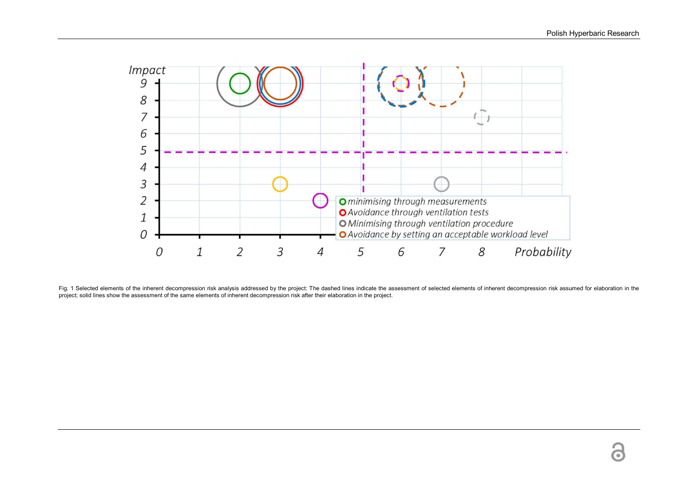

Fig. 1 Selected elements of the inherent decompression risk analysis addressed by the project: The dashed lines indicate the assessment of selected elements of inherent decompression risk assumed for elaboration in the project; solid lines show the assessment of the same elements of inherent decompression risk after their elaboration in the project.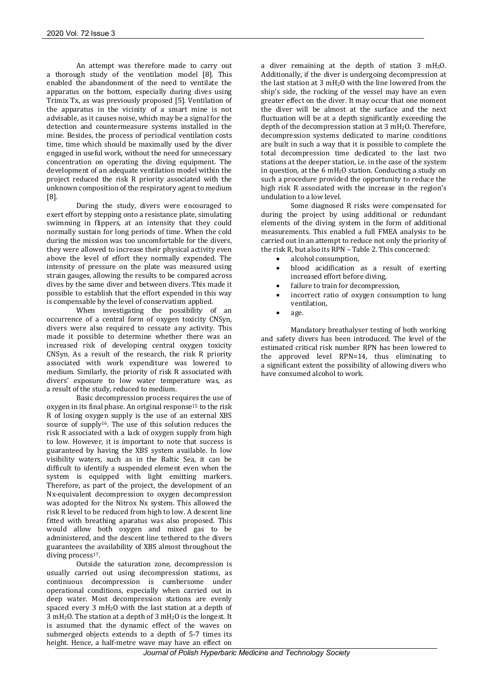An attempt was therefore made to carry out a thorough study of the ventilation model [8]. This enabled the abandonment of the need to ventilate the apparatus on the bottom, especially during dives using Trimix Tx, as was previously proposed [5]. Ventilation of the apparatus in the vicinity of a smart mine is not advisable, as it causes noise, which may be a signal for the detection and countermeasure systems installed in the mine. Besides, the process of periodical ventilation costs time, time which should be maximally used by the diver engaged in useful work, without the need for unnecessary concentration on operating the diving equipment. The development of an adequate ventilation model within the project reduced the risk R priority associated with the unknown composition of the respiratory agent to medium [8].

During the study, divers were encouraged to exert effort by stepping onto a resistance plate, simulating swimming in flippers, at an intensity that they could normally sustain for long periods of time. When the cold during the mission was too uncomfortable for the divers, they were allowed to increase their physical activity even above the level of effort they normally expended. The intensity of pressure on the plate was measured using strain gauges, allowing the results to be compared across dives by the same diver and between divers. This made it possible to establish that the effort expended in this way is compensable by the level of conservatism applied.

When investigating the possibility of an occurrence of a central form of oxygen toxicity CNSyn, divers were also required to cessate any activity. This made it possible to determine whether there was an increased risk of developing central oxygen toxicity CNSyn. As a result of the research, the risk R priority associated with work expenditure was lowered to medium. Similarly, the priority of risk R associated with divers' exposure to low water temperature was, as a result of the study, reduced to medium.

Basic decompression process requires the use of oxygen in its final phase. An original response15 to the risk R of losing oxygen supply is the use of an external XBS source of supply16. The use of this solution reduces the risk R associated with a lack of oxygen supply from high to low. However, it is important to note that success is guaranteed by having the XBS system available. In low visibility waters, such as in the Baltic Sea, it can be difficult to identify a suspended element even when the system is equipped with light emitting markers. Therefore, as part of the project, the development of an Nx-equivalent decompression to oxygen decompression was adopted for the Nitrox Nx system. This allowed the risk R level to be reduced from high to low. A descent line fitted with breathing aparatus was also proposed. This would allow both oxygen and mixed gas to be administered, and the descent line tethered to the divers guarantees the availability of XBS almost throughout the diving process<sup>17</sup>.

Outside the saturation zone, decompression is usually carried out using decompression stations, as continuous decompression is cumbersome under operational conditions, especially when carried out in deep water. Most decompression stations are evenly spaced every 3 mH2O with the last station at a depth of 3 mH2O. The station at a depth of 3 mH2O is the longest. It is assumed that the dynamic effect of the waves on submerged objects extends to a depth of 5-7 times its height. Hence, a half-metre wave may have an effect on

a diver remaining at the depth of station 3 mH2O. Additionally, if the diver is undergoing decompression at the last station at 3 mH2O with the line lowered from the ship's side, the rocking of the vessel may have an even greater effect on the diver. It may occur that one moment the diver will be almost at the surface and the next fluctuation will be at a depth significantly exceeding the depth of the decompression station at 3 mH2O. Therefore, decompression systems dedicated to marine conditions are built in such a way that it is possible to complete the total decompression time dedicated to the last two stations at the deeper station, i.e. in the case of the system in question, at the 6 mH2O station. Conducting a study on such a procedure provided the opportunity to reduce the high risk R associated with the increase in the region's undulation to a low level.

Some diagnosed R risks were compensated for during the project by using additional or redundant elements of the diving system in the form of additional measurements. This enabled a full FMEA analysis to be carried out in an attempt to reduce not only the priority of the risk R, but also its RPN – Table 2. This concerned:

- alcohol consumption,
- blood acidification as a result of exerting increased effort before diving,
- failure to train for decompression,
- incorrect ratio of oxygen consumption to lung ventilation,
- age.

Mandatory breathalyser testing of both working and safety divers has been introduced. The level of the estimated critical risk number RPN has been lowered to the approved level RPN=14, thus eliminating to a significant extent the possibility of allowing divers who have consumed alcohol to work.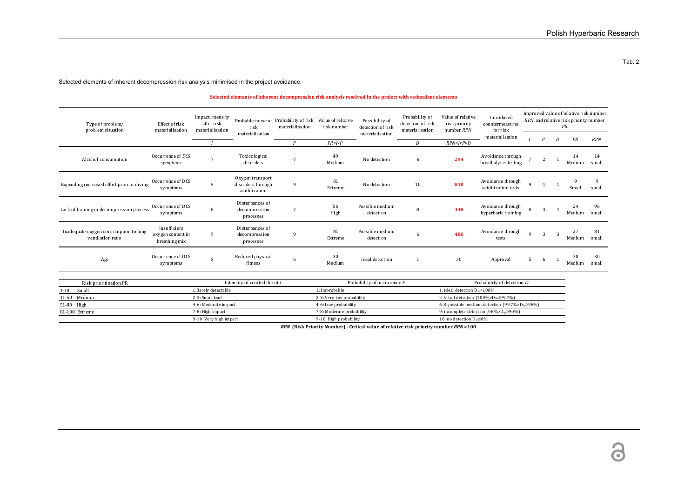Selected elements of inherent decompression risk analysis minimised in the project avoidance.

|  | Selected elements of inherent decompression risk analysis resolved in the project with redundant elements |
|--|-----------------------------------------------------------------------------------------------------------|
|  |                                                                                                           |

| Type of problem/<br>problem situation                      | Effect of risk<br>materialisation                  | Impact intensity<br>after risk<br>materialisation | risk                                                   | Probable cause of Probability of risk<br>materialisation | Value of relative<br>risk number | Possibility of<br>detection of risk | Probability of<br>detection of risk<br>materialisation | Value of relative<br>risk priority<br>number RPN | Introduced<br>countermeasures<br>for risk   |                |                |                | Improved value of relative risk number<br>RPN and relative risk priority number<br>PR |             |
|------------------------------------------------------------|----------------------------------------------------|---------------------------------------------------|--------------------------------------------------------|----------------------------------------------------------|----------------------------------|-------------------------------------|--------------------------------------------------------|--------------------------------------------------|---------------------------------------------|----------------|----------------|----------------|---------------------------------------------------------------------------------------|-------------|
|                                                            |                                                    |                                                   | materialisation                                        | D                                                        | $PR = I \times P$                | materialisation                     | D                                                      | $RPN=I\times P\times D$                          | materialisation                             |                | D              | D              | PR                                                                                    | <b>RPN</b>  |
| Alcohol consumption                                        | Occurrence of DCS<br>symptoms                      |                                                   | Toxicological<br>disorders                             |                                                          | 49<br>Medium                     | No detection                        | 6                                                      | 294                                              | Avoidance through<br>breathalyser testing   | $\overline{ }$ | $\overline{2}$ |                | 14<br>Medium                                                                          | 14<br>small |
| Expending increased effort prior to diving                 | Occurrence of DCS<br>symptoms                      | 9                                                 | Oxygen transport<br>disorders through<br>acidification | 9                                                        | 81<br>Extreme                    | No detection                        | 10                                                     | 810                                              | Avoidance through<br>acidification tests    | $\mathbf Q$    |                |                | 9<br>Smal                                                                             | -9<br>small |
| Lack of training in decompression process                  | Occurrence of DCS<br>symptoms                      | 8                                                 | Disturbances of<br>decompression<br>processes          |                                                          | 56<br>High                       | Possible medium<br>detection        | 8                                                      | 448                                              | Avoidance through<br>hyperbaric training    | 8              | 3              | $\overline{4}$ | 24<br>Medium                                                                          | 96<br>small |
| Inadequate oxygen consumption to lung<br>ventilation ratio | Insufficient<br>oxygen content in<br>breathing mix | 9                                                 | Disturbances of<br>decompression<br>processes          | 9                                                        | 81<br>Extreme                    | Possible medium<br>detection        | 6                                                      | 486                                              | Avoidance through<br>tests                  | $\mathbf Q$    | 3              | 3              | 27<br>Medium                                                                          | 81<br>small |
| Age                                                        | Occurrence of DCS<br>symptoms                      | 5                                                 | Reduced physical<br>fitness                            | 6                                                        | 30<br>Medium                     | Ideal detection                     | 1                                                      | 30                                               | Approval                                    | 5              | -6             |                | 30<br>Medium                                                                          | 30<br>small |
| Dick prioritication DD                                     |                                                    |                                                   | Intensity of created threat I                          |                                                          |                                  | $R_{\text{P}}$                      |                                                        |                                                  | $R$ Probability of detection $\overline{D}$ |                |                |                |                                                                                       |             |

| Risk prioritisation PR | Intensity of created threat I | Probability of occurrence P | Probability of detection $D$                             |
|------------------------|-------------------------------|-----------------------------|----------------------------------------------------------|
| $1 - 10$<br>Smal       | 1:Barely detectable           | 1: Improbable               | 1: ideal detection $D_{\infty}\cong 100\%$               |
| 11-50 Medium           | 2-3: Small load               | 2-3: Very low probability   | 2-5: full detection (100%>D%≥99.7%)                      |
| 51-80 High             | 4-6: Moderate impact          | 4-6: Low probability        | 6-8: possible medium detection $(99.7\% > D\% \ge 98\%)$ |
| 81-100 Extreme         | 7-8: High impact              | 7-8: Moderate probability   | 9: incomplete detection (98%> $D_{\text{W}} \ge 90\%$ )  |
|                        | 9-10: Very high impact        | 9-10: High probability      | 10: no detection $D_{\%}\cong 0\%$                       |
|                        |                               |                             |                                                          |

*RPN* **(Risk Priority Number) - Critical value of relative risk priority number** *RPN* **>100**

Tab. 2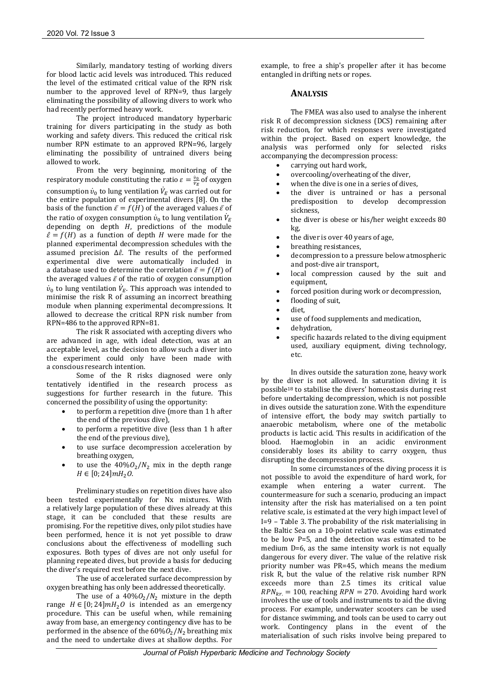Similarly, mandatory testing of working divers for blood lactic acid levels was introduced. This reduced the level of the estimated critical value of the RPN risk number to the approved level of RPN=9, thus largely eliminating the possibility of allowing divers to work who had recently performed heavy work.

The project introduced mandatory hyperbaric training for divers participating in the study as both working and safety divers. This reduced the critical risk number RPN estimate to an approved RPN=96, largely eliminating the possibility of untrained divers being allowed to work.

From the very beginning, monitoring of the respiratory module constituting the ratio  $\varepsilon = \frac{\dot{v}_0}{\dot{v}_E}$  of oxygen consumption  $\dot{v}_0$  to lung ventilation  $\dot{V}_E$  was carried out for the entire population of experimental divers [8]. On the basis of the function  $\bar{\varepsilon} = f(H)$  of the averaged values  $\bar{\varepsilon}$  of the ratio of oxygen consumption  $\dot{\nu}_{\rm 0}$  to lung ventilation  $\dot{V}_{E}$ depending on depth  $H$ , predictions of the module  $\hat{\varepsilon} = f(H)$  as a function of depth H were made for the planned experimental decompression schedules with the assumed precision  $\Delta \hat{\varepsilon}$ . The results of the performed experimental dive were automatically included in a database used to determine the correlation  $\bar{\varepsilon} = f(H)$  of the averaged values  $\bar{\varepsilon}$  of the ratio of oxygen consumption  $\dot{v}_0$  to lung ventilation  $\dot{V}_E$ . This approach was intended to minimise the risk R of assuming an incorrect breathing module when planning experimental decompressions. It allowed to decrease the critical RPN risk number from RPN=486 to the approved RPN=81.

The risk R associated with accepting divers who are advanced in age, with ideal detection, was at an acceptable level, as the decision to allow such a diver into the experiment could only have been made with a conscious research intention.

Some of the R risks diagnosed were only tentatively identified in the research process as suggestions for further research in the future. This concerned the possibility of using the opportunity:

- to perform a repetition dive (more than 1 h after the end of the previous dive),
- to perform a repetitive dive (less than 1 h after the end of the previous dive),
- to use surface decompression acceleration by breathing oxygen,
- to use the  $40\%O_2/N_2$  mix in the depth range  $H \in [0; 24] mH<sub>2</sub>0.$

Preliminary studies on repetition dives have also been tested experimentally for Nx mixtures. With a relatively large population of these dives already at this stage, it can be concluded that these results are promising. For the repetitive dives, only pilot studies have been performed, hence it is not yet possible to draw conclusions about the effectiveness of modelling such exposures. Both types of dives are not only useful for planning repeated dives, but provide a basis for deducing the diver's required rest before the next dive.

The use of accelerated surface decompression by oxygen breathing has only been addressed theoretically.

The use of a  $40\%O_2/N_2$  mixture in the depth range  $H \in [0; 24]mH<sub>2</sub>O$  is intended as an emergency procedure. This can be useful when, while remaining away from base, an emergency contingency dive has to be performed in the absence of the  $60\% O_2/N_2$  breathing mix and the need to undertake dives at shallow depths. For example, to free a ship's propeller after it has become entangled in drifting nets or ropes.

## **ANALYSIS**

The FMEA was also used to analyse the inherent risk R of decompression sickness (DCS) remaining after risk reduction, for which responses were investigated within the project. Based on expert knowledge, the analysis was performed only for selected risks accompanying the decompression process:

- carrying out hard work,
- overcooling/overheating of the diver,
- when the dive is one in a series of dives,
- the diver is untrained or has a personal predisposition to develop decompression sickness,
- the diver is obese or his/her weight exceeds 80 kg,
- the diver is over 40 years of age,
- breathing resistances,
- decompression to a pressure below atmospheric and post-dive air transport,
- local compression caused by the suit and equipment,
- forced position during work or decompression,
- flooding of suit,
- diet,
- use of food supplements and medication,
- dehydration,
- specific hazards related to the diving equipment used, auxiliary equipment, diving technology, etc.

In dives outside the saturation zone, heavy work by the diver is not allowed. In saturation diving it is possible18 to stabilise the divers' homeostasis during rest before undertaking decompression, which is not possible in dives outside the saturation zone. With the expenditure of intensive effort, the body may switch partially to anaerobic metabolism, where one of the metabolic products is lactic acid. This results in acidification of the blood. Haemoglobin in an acidic environment considerably loses its ability to carry oxygen, thus disrupting the decompression process.

In some circumstances of the diving process it is not possible to avoid the expenditure of hard work, for example when entering a water current. The countermeasure for such a scenario, producing an impact intensity after the risk has materialised on a ten point relative scale, is estimated at the very high impact level of I=9 – Table 3. The probability of the risk materialising in the Baltic Sea on a 10-point relative scale was estimated to be low P=5, and the detection was estimated to be medium D=6, as the same intensity work is not equally dangerous for every diver. The value of the relative risk priority number was PR=45, which means the medium risk R, but the value of the relative risk number RPN exceeds more than 2.5 times its critical value  $RPN_{kr.} = 100$ , reaching  $RPN = 270$ . Avoiding hard work involves the use of tools and instruments to aid the diving process. For example, underwater scooters can be used for distance swimming, and tools can be used to carry out work. Contingency plans in the event of the materialisation of such risks involve being prepared to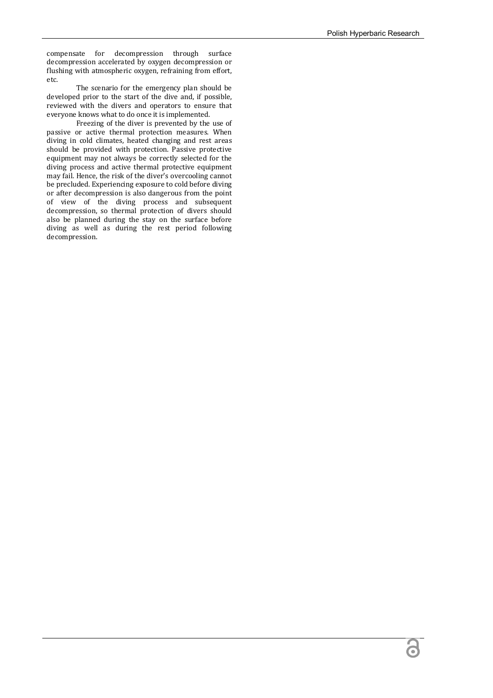compensate for decompression through surface decompression accelerated by oxygen decompression or flushing with atmospheric oxygen, refraining from effort, etc.

The scenario for the emergency plan should be developed prior to the start of the dive and, if possible, reviewed with the divers and operators to ensure that everyone knows what to do once it is implemented.

Freezing of the diver is prevented by the use of passive or active thermal protection measures. When diving in cold climates, heated changing and rest areas should be provided with protection. Passive protective equipment may not always be correctly selected for the diving process and active thermal protective equipment may fail. Hence, the risk of the diver's overcooling cannot be precluded. Experiencing exposure to cold before diving or after decompression is also dangerous from the point of view of the diving process and subsequent decompression, so thermal protection of divers should also be planned during the stay on the surface before diving as well as during the rest period following decompression.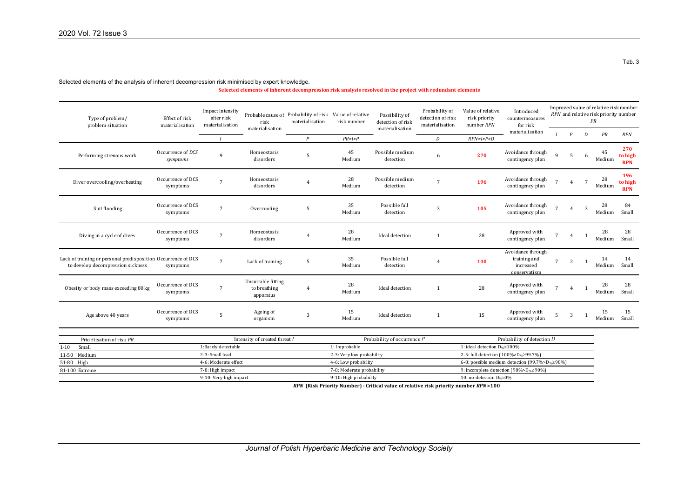#### Selected elements of the analysis of inherent decompression risk minimised by expert knowledge.

#### **Selected elements of inherent decompression risk analysis resolved in the project with redundant elements**

| Type of problem/<br>problem situation                                                              | Effect of risk<br>materialisation | Impact intensity<br>after risk<br>materialisation | risk                                            | Probable cause of Probability of risk Value of relative<br>materialisation | risk number       | Possibility of<br>detection of risk | Probability of<br>detection of risk<br>materialisation | Value of relative<br>risk priority<br>number RPN | Introduced<br>countermeasures<br>for risk                      |                 |                |                | Improved value of relative risk number<br>RPN and relative risk priority number<br>PR |                              |
|----------------------------------------------------------------------------------------------------|-----------------------------------|---------------------------------------------------|-------------------------------------------------|----------------------------------------------------------------------------|-------------------|-------------------------------------|--------------------------------------------------------|--------------------------------------------------|----------------------------------------------------------------|-----------------|----------------|----------------|---------------------------------------------------------------------------------------|------------------------------|
|                                                                                                    |                                   |                                                   | materialisation                                 | D                                                                          | $PR = I \times P$ | materialisation                     | D                                                      | $RPN = I \times P \times D$                      | materialisation                                                |                 | $\mathbf{D}$   | D              | PR                                                                                    | RPN                          |
| Performing strenous work                                                                           | Occurrence of DCS<br>symptoms     | $\mathbf{q}$                                      | Homeostasis<br>disorders                        | 5                                                                          | 45<br>Medium      | Possible medium<br>detection        | 6                                                      | 270                                              | Avoidance through<br>contingency plan                          | $\mathbf{q}$    | 5              | 6              | 45<br>Medium                                                                          | 270<br>to high<br><b>RPN</b> |
| Diver overcooling/overheating                                                                      | Occurrence of DCS<br>symptoms     | $\overline{7}$                                    | Homeostasis<br>disorders                        |                                                                            | 28<br>Medium      | Possible medium<br>detection        | $\overline{7}$                                         | 196                                              | Avoidance through<br>contingency plan                          | $7\phantom{.0}$ | $\overline{4}$ |                | 28<br>Medium                                                                          | 196<br>to high<br><b>RPN</b> |
| Suit flooding                                                                                      | Occurrence of DCS<br>symptoms     | $\overline{7}$                                    | Overcooling                                     | 5                                                                          | 35<br>Medium      | Possible full<br>detection          | 3                                                      | 105                                              | Avoidance through<br>contingency plan                          | $\overline{7}$  | 4              | 3              | 28<br>Medium                                                                          | 84<br>Small                  |
| Diving in a cycle of dives                                                                         | Occurrence of DCS<br>symptoms     | $\overline{ }$                                    | Homeostasis<br>disorders                        |                                                                            | 28<br>Medium      | Ideal detection                     |                                                        | 28                                               | Approved with<br>contingency plan                              | $\overline{7}$  | $\overline{4}$ |                | 28<br>Medium                                                                          | 28<br>Small                  |
| Lack of training or personal predisposition Occurrence of DCS<br>to develop decompression sickness | symptoms                          | $\overline{7}$                                    | Lack of training                                | 5                                                                          | 35<br>Medium      | Possible full<br>detection          | $\overline{4}$                                         | 140                                              | Avoidance through<br>training and<br>increased<br>conservatism | $\overline{7}$  | 2              |                | 14<br>Medium                                                                          | 14<br>Small                  |
| Obesity or body mass exceeding 80 kg                                                               | Occurrence of DCS<br>symptoms     | $\overline{7}$                                    | Unsuitable fitting<br>to breathing<br>apparatus | 4                                                                          | 28<br>Medium      | Ideal detection                     | $\mathbf{1}$                                           | 28                                               | Approved with<br>contingency plan                              | $\overline{7}$  | 4              | $\overline{1}$ | 28<br>Medium                                                                          | 28<br>Small                  |
| Age above 40 years                                                                                 | Occurrence of DCS<br>symptoms     | 5                                                 | Ageing of<br>organism                           | 3                                                                          | 15<br>Medium      | Ideal detection                     |                                                        | 15                                               | Approved with<br>contingency plan                              | 5               | 3              |                | 15<br>Medium                                                                          | 15<br>Small                  |

| Prioritisation of risk PR | Intensity of created threat I | Probability of occurrence $P$ | Probability of detection D                              |
|---------------------------|-------------------------------|-------------------------------|---------------------------------------------------------|
| $1 - 10$<br>Small         | 1:Barely detectable           | l : Improbable                | 1: ideal detection $D_{\%}\cong 100\%$                  |
| 11-50 Medium              | 2-3: Small load               | 2-3: Very low probability     | 2-5: full detection (100%>D%≥99.7%)                     |
| 51-80 High                | 4-6: Moderate effect          | 4-6: Low probability          | 6-8: possible medium detection $(99.7\% > D% \ge 98\%)$ |
| 81-100 Extreme            | 7-8: High impact              | 7-8: Moderate probability     | 9: incomplete detection (98%> $D_{\%} \ge 90\%$ )       |
|                           | 9-10: Very high impact        | 9-10: High probability        | 10: no detection $D_{\%}\cong 0\%$                      |

*RPN* **(Risk Priority Number) - Critical value of relative risk priority number** *RPN* **>100**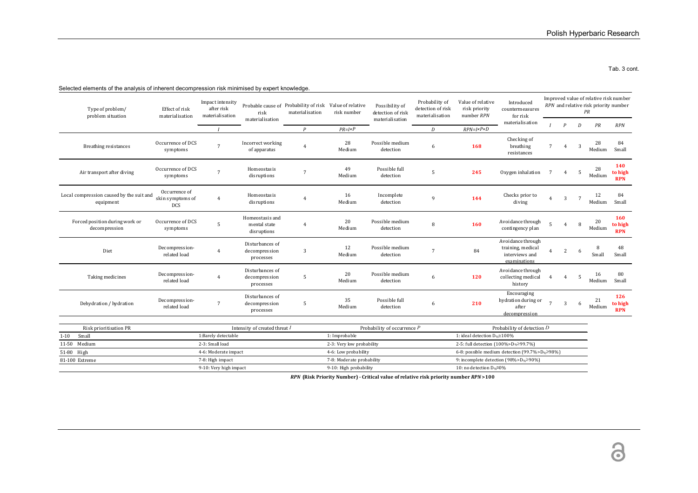Tab. 3 cont.

| Type of problem/<br>problem situation                 | ociected clerificitis of the analysis of innerent decomplession hisk minimised by expert knowledge.<br>Effect of risk<br>materialisation | Impact intensity<br>after risk<br>materialisation | risk                                           | Probable cause of Probability of risk Value of relative<br>materialisation | risk number                                | Possibility of<br>detection of risk | Probability of<br>detection of risk<br>materialisation | Value of relative<br>risk priority<br>number RPN           | Introduced<br>countermeasures<br>for risk                                |                |                |                  | Improved value of relative risk number<br>RPN and relative risk priority number<br>PR |                              |
|-------------------------------------------------------|------------------------------------------------------------------------------------------------------------------------------------------|---------------------------------------------------|------------------------------------------------|----------------------------------------------------------------------------|--------------------------------------------|-------------------------------------|--------------------------------------------------------|------------------------------------------------------------|--------------------------------------------------------------------------|----------------|----------------|------------------|---------------------------------------------------------------------------------------|------------------------------|
|                                                       |                                                                                                                                          |                                                   | materialisation                                | P                                                                          | $PR = I \times P$                          | materialisation                     | D                                                      | $RPN=I\times P\times D$                                    | materialisation                                                          |                | $\overline{P}$ | $\boldsymbol{D}$ | PR                                                                                    | <b>RPN</b>                   |
| <b>Breathing resistances</b>                          | Occurrence of DCS<br>symptoms                                                                                                            | $\overline{7}$                                    | Incorrect working<br>of apparatus              | $\overline{4}$                                                             | 28<br>Medium                               | Possible medium<br>detection        | 6                                                      | 168                                                        | Checking of<br>breathing<br>resistances                                  | 7              | $\overline{4}$ | 3                | 28<br>Medium                                                                          | 84<br>Small                  |
| Air transport after diving                            | Occurrence of DCS<br>symptoms                                                                                                            | $\overline{7}$                                    | Homeostasis<br>disruptions                     | 7                                                                          | 49<br>Medium                               | Possible full<br>detection          | 5                                                      | 245                                                        | Oxygen inhalation                                                        |                | $\overline{4}$ | 5                | 28<br>Medium                                                                          | 140<br>to high<br><b>RPN</b> |
| Local compression caused by the suit and<br>equipment | Occurrence of<br>skin symptoms of<br><b>DCS</b>                                                                                          | 4                                                 | Homeostasis<br>disruptions                     | $\overline{4}$                                                             | 16<br>Medium                               | Incomplete<br>detection             | 9                                                      | 144                                                        | Checks prior to<br>diving                                                | 4              | 3              |                  | 12<br>Medium                                                                          | 84<br>Small                  |
| Forced position during work or<br>decompression       | Occurrence of DCS<br>symptoms                                                                                                            | 5                                                 | Homeostasis and<br>mental state<br>disruptions | 4                                                                          | 20<br>Medium                               | Possible medium<br>detection        | 8                                                      | 160                                                        | Avoidance through<br>contingency plan                                    | 5              |                | 8                | 20<br>Medium                                                                          | 160<br>to high<br><b>RPN</b> |
| Diet                                                  | Decompression-<br>related load                                                                                                           | $\overline{4}$                                    | Disturbances of<br>decompression<br>processes  | 3                                                                          | 12<br>Medium                               | Possible medium<br>detection        | 7                                                      | 84                                                         | Avoidance through<br>training, medical<br>interviews and<br>examinations |                | $\overline{2}$ | 6                | 8<br>Small                                                                            | 48<br>Small                  |
| Taking medicines                                      | Decompression-<br>related load                                                                                                           | $\overline{4}$                                    | Disturbances of<br>decompression<br>processes  | 5                                                                          | 20<br>Medium                               | Possible medium<br>detection        | 6                                                      | 120                                                        | Avoidance through<br>collecting medical<br>history                       | $\overline{4}$ | $\overline{4}$ | -5               | 16<br>Medium                                                                          | 80<br>Small                  |
| Dehydration / hydration                               | Decompression-<br>related load                                                                                                           | $7\phantom{.0}$                                   | Disturbances of<br>decompression<br>processes  | 5                                                                          | 35<br>Medium                               | Possible full<br>detection          | 6                                                      | 210                                                        | Encouraging<br>hydration during or<br>after<br>decompression             |                | $\overline{3}$ | 6                | 21<br>Medium                                                                          | 126<br>to high<br><b>RPN</b> |
| Risk prioritisation PR                                |                                                                                                                                          |                                                   | Intensity of created threat I                  |                                                                            |                                            |                                     |                                                        |                                                            |                                                                          |                |                |                  |                                                                                       |                              |
| $1 - 10$<br>Small                                     |                                                                                                                                          | 1:Barely detectable                               |                                                |                                                                            | Probability of occurrence $P$              |                                     |                                                        | Probability of detection $D$<br>1: ideal detection D%≅100% |                                                                          |                |                |                  |                                                                                       |                              |
| Medium<br>11-50                                       |                                                                                                                                          | 2-3: Small load                                   |                                                |                                                                            | 1: Improbable<br>2-3: Very low probability |                                     |                                                        | 2-5: full detection (100%>D%≥99.7%)                        |                                                                          |                |                |                  |                                                                                       |                              |
| 51-80<br>High                                         |                                                                                                                                          | 4-6: Moderate impact                              |                                                |                                                                            | 4-6: Low probability                       |                                     |                                                        | 6-8: possible medium detection (99.7%>D%≥98%)              |                                                                          |                |                |                  |                                                                                       |                              |
| 81-100 Extreme                                        |                                                                                                                                          | 7-8: High impact                                  |                                                |                                                                            | 7-8: Moderate probability                  |                                     |                                                        |                                                            | 9: incomplete detection (98%>D%≥90%)                                     |                |                |                  |                                                                                       |                              |

9-10: High probability

Selected elements of the analysis of inherent decompression risk minimised by expert knowledge.

9-10: Very high impact

*RPN* **(Risk Priority Number) - Critical value of relative risk priority number** *RPN* **>100**

10: no detection  $D_{\%}\widetilde{=}0\%$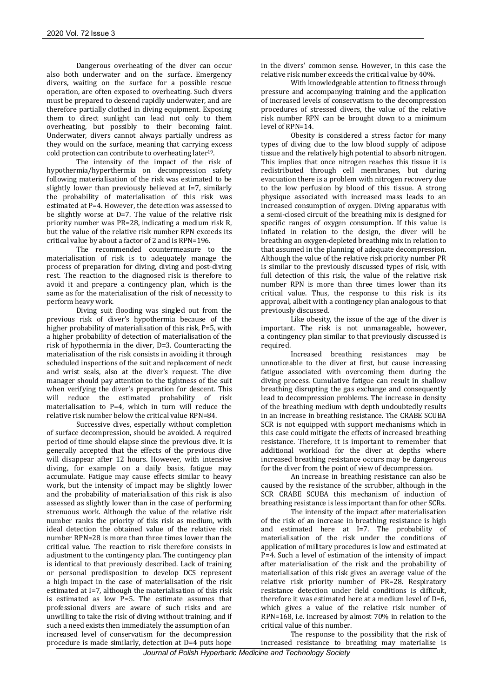Dangerous overheating of the diver can occur also both underwater and on the surface. Emergency divers, waiting on the surface for a possible rescue operation, are often exposed to overheating. Such divers must be prepared to descend rapidly underwater, and are therefore partially clothed in diving equipment. Exposing them to direct sunlight can lead not only to them overheating, but possibly to their becoming faint. Underwater, divers cannot always partially undress as they would on the surface, meaning that carrying excess cold protection can contribute to overheating later19.

The intensity of the impact of the risk of hypothermia/hyperthermia on decompression safety following materialisation of the risk was estimated to be slightly lower than previously believed at I=7, similarly the probability of materialisation of this risk was estimated at P=4. However, the detection was assessed to be slightly worse at D=7. The value of the relative risk priority number was PR=28, indicating a medium risk R, but the value of the relative risk number RPN exceeds its critical value by about a factor of 2 and is RPN=196.

The recommended countermeasure to the materialisation of risk is to adequately manage the process of preparation for diving, diving and post-diving rest. The reaction to the diagnosed risk is therefore to avoid it and prepare a contingency plan, which is the same as for the materialisation of the risk of necessity to perform heavy work.

Diving suit flooding was singled out from the previous risk of diver's hypothermia because of the higher probability of materialisation of this risk, P=5, with a higher probability of detection of materialisation of the risk of hypothermia in the diver, D=3. Counteracting the materialisation of the risk consists in avoiding it through scheduled inspections of the suit and replacement of neck and wrist seals, also at the diver's request. The dive manager should pay attention to the tightness of the suit when verifying the diver's preparation for descent. This will reduce the estimated probability of risk materialisation to P=4, which in turn will reduce the relative risk number below the critical value RPN=84.

Successive dives, especially without completion of surface decompression, should be avoided. A required period of time should elapse since the previous dive. It is generally accepted that the effects of the previous dive will disappear after 12 hours. However, with intensive diving, for example on a daily basis, fatigue may accumulate. Fatigue may cause effects similar to heavy work, but the intensity of impact may be slightly lower and the probability of materialisation of this risk is also assessed as slightly lower than in the case of performing strenuous work. Although the value of the relative risk number ranks the priority of this risk as medium, with ideal detection the obtained value of the relative risk number RPN=28 is more than three times lower than the critical value. The reaction to risk therefore consists in adjustment to the contingency plan. The contingency plan is identical to that previously described. Lack of training or personal predisposition to develop DCS represent a high impact in the case of materialisation of the risk estimated at I=7, although the materialisation of this risk is estimated as low P=5. The estimate assumes that professional divers are aware of such risks and are unwilling to take the risk of diving without training, and if such a need exists then immediately the assumption of an increased level of conservatism for the decompression procedure is made similarly, detection at D=4 puts hope

in the divers' common sense. However, in this case the relative risk number exceeds the critical value by 40%.

With knowledgeable attention to fitness through pressure and accompanying training and the application of increased levels of conservatism to the decompression procedures of stressed divers, the value of the relative risk number RPN can be brought down to a minimum level of RPN=14.

Obesity is considered a stress factor for many types of diving due to the low blood supply of adipose tissue and the relatively high potential to absorb nitrogen. This implies that once nitrogen reaches this tissue it is redistributed through cell membranes, but during evacuation there is a problem with nitrogen recovery due to the low perfusion by blood of this tissue. A strong physique associated with increased mass leads to an increased consumption of oxygen. Diving apparatus with a semi-closed circuit of the breathing mix is designed for specific ranges of oxygen consumption. If this value is inflated in relation to the design, the diver will be breathing an oxygen-depleted breathing mix in relation to that assumed in the planning of adequate decompression. Although the value of the relative risk priority number PR is similar to the previously discussed types of risk, with full detection of this risk, the value of the relative risk number RPN is more than three times lower than its critical value. Thus, the response to this risk is its approval, albeit with a contingency plan analogous to that previously discussed.

Like obesity, the issue of the age of the diver is important. The risk is not unmanageable, however, a contingency plan similar to that previously discussed is required.

Increased breathing resistances may be unnoticeable to the diver at first, but cause increasing fatigue associated with overcoming them during the diving process. Cumulative fatigue can result in shallow breathing disrupting the gas exchange and consequently lead to decompression problems. The increase in density of the breathing medium with depth undoubtedly results in an increase in breathing resistance. The CRABE SCUBA SCR is not equipped with support mechanisms which in this case could mitigate the effects of increased breathing resistance. Therefore, it is important to remember that additional workload for the diver at depths where increased breathing resistance occurs may be dangerous for the diver from the point of view of decompression.

An increase in breathing resistance can also be caused by the resistance of the scrubber, although in the SCR CRABE SCUBA this mechanism of induction of breathing resistance is less important than for other SCRs.

The intensity of the impact after materialisation of the risk of an increase in breathing resistance is high and estimated here at I=7. The probability of materialisation of the risk under the conditions of application of military procedures is low and estimated at P=4. Such a level of estimation of the intensity of impact after materialisation of the risk and the probability of materialisation of this risk gives an average value of the relative risk priority number of PR=28. Respiratory resistance detection under field conditions is difficult, therefore it was estimated here at a medium level of D=6, which gives a value of the relative risk number of RPN=168, i.e. increased by almost 70% in relation to the critical value of this number.

The response to the possibility that the risk of increased resistance to breathing may materialise is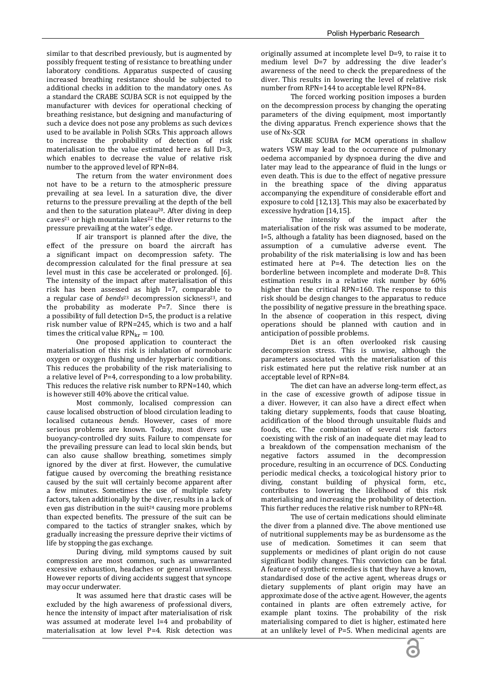similar to that described previously, but is augmented by possibly frequent testing of resistance to breathing under laboratory conditions. Apparatus suspected of causing increased breathing resistance should be subjected to additional checks in addition to the mandatory ones. As a standard the CRABE SCUBA SCR is not equipped by the manufacturer with devices for operational checking of breathing resistance, but designing and manufacturing of such a device does not pose any problems as such devices used to be available in Polish SCRs. This approach allows to increase the probability of detection of risk materialisation to the value estimated here as full D=3, which enables to decrease the value of relative risk number to the approved level of RPN=84.

The return from the water environment does not have to be a return to the atmospheric pressure prevailing at sea level. In a saturation dive, the diver returns to the pressure prevailing at the depth of the bell and then to the saturation plateau<sup>20</sup>. After diving in deep caves<sup>21</sup> or high mountain lakes<sup>22</sup> the diver returns to the pressure prevailing at the water's edge.

If air transport is planned after the dive, the effect of the pressure on board the aircraft has a significant impact on decompression safety. The decompression calculated for the final pressure at sea level must in this case be accelerated or prolonged. [6]. The intensity of the impact after materialisation of this risk has been assessed as high I=7, comparable to a regular case of *bends*<sup>23</sup> decompression sickness<sup>23</sup>, and the probability as moderate P=7. Since there is a possibility of full detection D=5, the product is a relative risk number value of RPN=245, which is two and a half times the critical value  $RPN_{kr} = 100$ .

One proposed application to counteract the materialisation of this risk is inhalation of normobaric oxygen or oxygen flushing under hyperbaric conditions. This reduces the probability of the risk materialising to a relative level of P=4, corresponding to a low probability. This reduces the relative risk number to RPN=140, which is however still 40% above the critical value.

Most commonly, localised compression can cause localised obstruction of blood circulation leading to localised cutaneous *bends*. However, cases of more serious problems are known. Today, most divers use buoyancy-controlled dry suits. Failure to compensate for the prevailing pressure can lead to local skin bends, but can also cause shallow breathing, sometimes simply ignored by the diver at first. However, the cumulative fatigue caused by overcoming the breathing resistance caused by the suit will certainly become apparent after a few minutes. Sometimes the use of multiple safety factors, taken additionally by the diver, results in a lack of even gas distribution in the suit<sup>24</sup> causing more problems than expected benefits. The pressure of the suit can be compared to the tactics of strangler snakes, which by gradually increasing the pressure deprive their victims of life by stopping the gas exchange.

During diving, mild symptoms caused by suit compression are most common, such as unwarranted excessive exhaustion, headaches or general unwellness. However reports of diving accidents suggest that syncope may occur underwater.

It was assumed here that drastic cases will be excluded by the high awareness of professional divers, hence the intensity of impact after materialisation of risk was assumed at moderate level I=4 and probability of materialisation at low level P=4. Risk detection was originally assumed at incomplete level D=9, to raise it to medium level D=7 by addressing the dive leader's awareness of the need to check the preparedness of the diver. This results in lowering the level of relative risk number from RPN=144 to acceptable level RPN=84.

The forced working position imposes a burden on the decompression process by changing the operating parameters of the diving equipment, most importantly the diving apparatus. French experience shows that the use of Nx-SCR

CRABE SCUBA for MCM operations in shallow waters VSW may lead to the occurrence of pulmonary oedema accompanied by dyspnoea during the dive and later may lead to the appearance of fluid in the lungs or even death. This is due to the effect of negative pressure in the breathing space of the diving apparatus accompanying the expenditure of considerable effort and exposure to cold [12,13]. This may also be exacerbated by excessive hydration [14,15].

The intensity of the impact after the materialisation of the risk was assumed to be moderate, I=5, although a fatality has been diagnosed, based on the assumption of a cumulative adverse event. The probability of the risk materialising is low and has been estimated here at P=4. The detection lies on the borderline between incomplete and moderate D=8. This estimation results in a relative risk number by 60% higher than the critical RPN=160. The response to this risk should be design changes to the apparatus to reduce the possibility of negative pressure in the breathing space. In the absence of cooperation in this respect, diving operations should be planned with caution and in anticipation of possible problems.

Diet is an often overlooked risk causing decompression stress. This is unwise, although the parameters associated with the materialisation of this risk estimated here put the relative risk number at an acceptable level of RPN=84.

The diet can have an adverse long-term effect, as in the case of excessive growth of adipose tissue in a diver. However, it can also have a direct effect when taking dietary supplements, foods that cause bloating, acidification of the blood through unsuitable fluids and foods, etc. The combination of several risk factors coexisting with the risk of an inadequate diet may lead to a breakdown of the compensation mechanism of the negative factors assumed in the decompression procedure, resulting in an occurrence of DCS. Conducting periodic medical checks, a toxicological history prior to diving, constant building of physical form, etc., contributes to lowering the likelihood of this risk materialising and increasing the probability of detection. This further reduces the relative risk number to RPN=48.

The use of certain medications should eliminate the diver from a planned dive. The above mentioned use of nutritional supplements may be as burdensome as the use of medication. Sometimes it can seem that supplements or medicines of plant origin do not cause significant bodily changes. This conviction can be fatal. A feature of synthetic remedies is that they have a known, standardised dose of the active agent, whereas drugs or dietary supplements of plant origin may have an approximate dose of the active agent. However, the agents contained in plants are often extremely active, for example plant toxins. The probability of the risk materialising compared to diet is higher, estimated here at an unlikely level of P=5. When medicinal agents are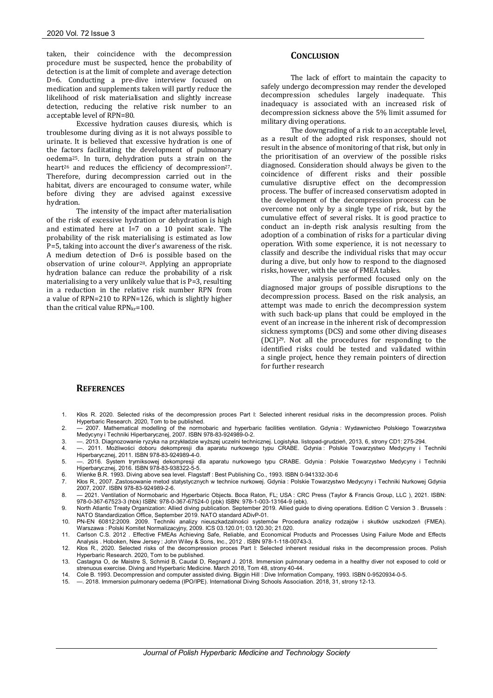taken, their coincidence with the decompression procedure must be suspected, hence the probability of detection is at the limit of complete and average detection D=6. Conducting a pre-dive interview focused on medication and supplements taken will partly reduce the likelihood of risk materialisation and slightly increase detection, reducing the relative risk number to an acceptable level of RPN=80.

Excessive hydration causes diuresis, which is troublesome during diving as it is not always possible to urinate. It is believed that excessive hydration is one of the factors facilitating the development of pulmonary oedema25. In turn, dehydration puts a strain on the heart<sup>26</sup> and reduces the efficiency of decompression<sup>27</sup>. Therefore, during decompression carried out in the habitat, divers are encouraged to consume water, while before diving they are advised against excessive hydration.

The intensity of the impact after materialisation of the risk of excessive hydration or dehydration is high and estimated here at I=7 on a 10 point scale. The probability of the risk materialising is estimated as low P=5, taking into account the diver's awareness of the risk. A medium detection of D=6 is possible based on the observation of urine colour28. Applying an appropriate hydration balance can reduce the probability of a risk materialising to a very unlikely value that is P=3, resulting in a reduction in the relative risk number RPN from a value of RPN=210 to RPN=126, which is slightly higher than the critical value  $RPN_{kr}=100$ .

### **CONCLUSION**

The lack of effort to maintain the capacity to safely undergo decompression may render the developed decompression schedules largely inadequate. This inadequacy is associated with an increased risk of decompression sickness above the 5% limit assumed for military diving operations.

The downgrading of a risk to an acceptable level, as a result of the adopted risk responses, should not result in the absence of monitoring of that risk, but only in the prioritisation of an overview of the possible risks diagnosed. Consideration should always be given to the coincidence of different risks and their possible cumulative disruptive effect on the decompression process. The buffer of increased conservatism adopted in the development of the decompression process can be overcome not only by a single type of risk, but by the cumulative effect of several risks. It is good practice to conduct an in-depth risk analysis resulting from the adoption of a combination of risks for a particular diving operation. With some experience, it is not necessary to classify and describe the individual risks that may occur during a dive, but only how to respond to the diagnosed risks, however, with the use of FMEA tables.

The analysis performed focused only on the diagnosed major groups of possible disruptions to the decompression process. Based on the risk analysis, an attempt was made to enrich the decompression system with such back-up plans that could be employed in the event of an increase in the inherent risk of decompression sickness symptoms (DCS) and some other diving diseases (DCI)29. Not all the procedures for responding to the identified risks could be tested and validated within a single project, hence they remain pointers of direction for further research

### **REFERENCES**

- 1. Kłos R. 2020. Selected risks of the decompression proces Part I: Selected inherent residual risks in the decompression proces. Polish Hyperbaric Research. 2020, Tom to be published.
- 2. 2007. Mathematical modelling of the normobaric and hyperbaric facilities ventilation. Gdynia : Wydawnictwo Polskiego Towarzystwa Medycyny i Techniki Hiperbarycznej, 2007. ISBN 978-83-924989-0-2.
- 3. —. 2013. Diagnozowanie ryzyka na przykładzie wyższej uczelni technicznej. Logistyka. listopad-grudzień, 2013, 6, strony CD1: 275-294. 4. —. 2011. Możliwości doboru dekompresji dla aparatu nurkowego typu CRABE. Gdynia : Polskie Towarzystwo Medycyny i Techniki
- Hiperbarycznej, 2011. ISBN 978-83-924989-4-0. 5. —. 2016. System trymiksowej dekompresji dla aparatu nurkowego typu CRABE. Gdynia : Polskie Towarzystwo Medycyny i Techniki Hiperbarycznej, 2016. ISBN 978-83-938322-5-5.
- 6. Wienke B.R. 1993. Diving above sea level. Flagstaff : Best Publishing Co., 1993. ISBN 0-941332-30-6
- 7. Kłos R., 2007. Zastosowanie metod statystycznych w technice nurkowej. Gdynia : Polskie Towarzystwo Medycyny i Techniki Nurkowej Gdynia 2007, 2007. ISBN 978-83-924989-2-6.
- 8. 2021. Ventilation of Normobaric and Hyperbaric Objects. Boca Raton, FL; USA : CRC Press (Taylor & Francis Group, LLC ), 2021. ISBN: 978-0-367-67523-3 (hbk) ISBN: 978-0-367-67524-0 (pbk) ISBN: 978-1-003-13164-9 (ebk).
- 9. North Atlantic Treaty Organization: Allied diving publication. September 2019. Allied guide to diving operations. Edition C Version 3 . Brussels : NATO Standardization Office, September 2019. NATO standard ADivP-01. 10. PN-EN 60812:2009. 2009. Techniki analizy nieuszkadzalności systemów Procedura analizy rodzajów i skutków uszkodzeń (FMEA).
- Warszawa : Polski Komitet Normalizacyjny, 2009. ICS 03.120.01; 03.120.30; 21.020. 11. Carlson C.S. 2012 . Effective FMEAs Achieving Safe, Reliable, and Economical Products and Processes Using Failure Mode and Effects
- Analysis . Hoboken, New Jersey : John Wiley & Sons, Inc., 2012 . ISBN 978-1-118-00743-3. 12. Kłos R., 2020. Selected risks of the decompression proces Part I: Selected inherent residual risks in the decompression proces. Polish
- Hyperbaric Research. 2020, Tom to be published. 13. Castagna O, de Maistre S, Schmid B, Caudal D, Regnard J. 2018. Immersion pulmonary oedema in a healthy diver not exposed to cold or
- strenuous exercise. Diving and Hyperbaric Medicine. March 2018, Tom 48, strony 40-44.
- 14. Cole B. 1993. Decompression and computer assisted diving. Biggin Hill : Dive Information Company, 1993. ISBN 0-9520934-0-5.<br>15. 2018. Immersion pulmonary oedema (IPO/IPE). International Diving Schools Association. 20
- 15. —. 2018. Immersion pulmonary oedema (IPO/IPE). International Diving Schools Association. 2018, 31, strony 12-13.